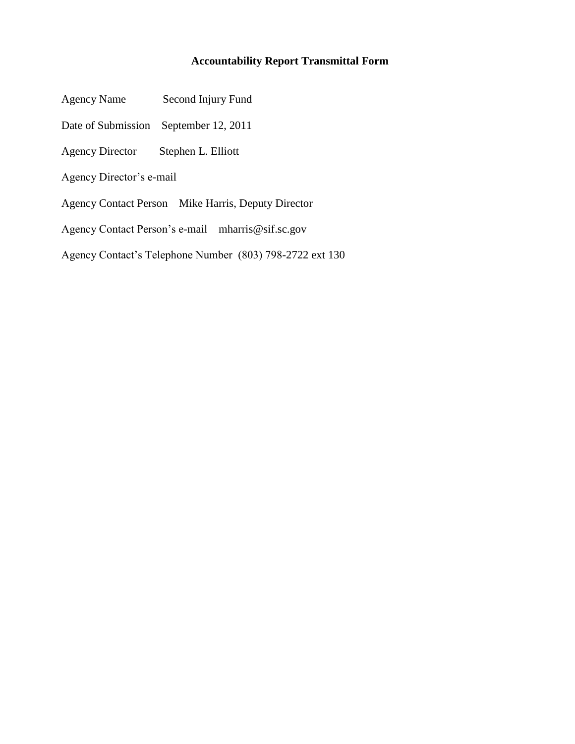#### **Accountability Report Transmittal Form**

- Agency Name Second Injury Fund
- Date of Submission September 12, 2011
- Agency Director Stephen L. Elliott
- Agency Director's e-mail
- Agency Contact Person Mike Harris, Deputy Director
- Agency Contact Person"s e-mail mharris@sif.sc.gov
- Agency Contact"s Telephone Number (803) 798-2722 ext 130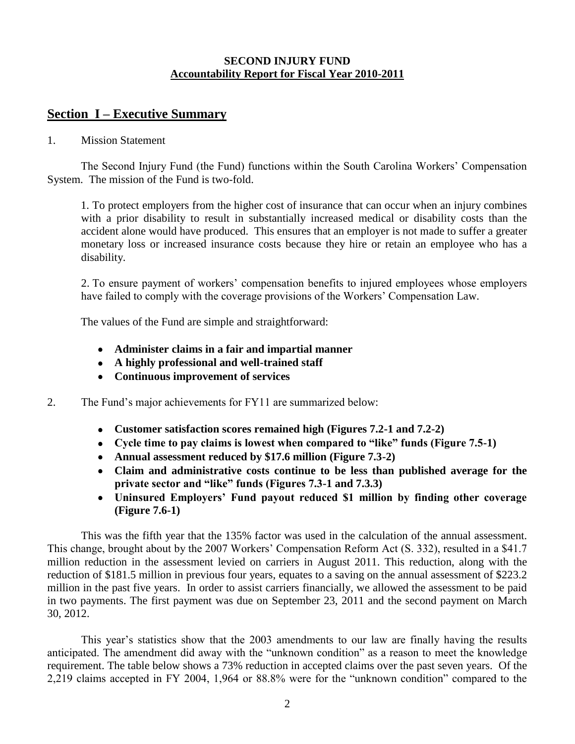#### **SECOND INJURY FUND Accountability Report for Fiscal Year 2010-2011**

#### **Section I – Executive Summary**

#### 1. Mission Statement

The Second Injury Fund (the Fund) functions within the South Carolina Workers" Compensation System. The mission of the Fund is two-fold.

1. To protect employers from the higher cost of insurance that can occur when an injury combines with a prior disability to result in substantially increased medical or disability costs than the accident alone would have produced. This ensures that an employer is not made to suffer a greater monetary loss or increased insurance costs because they hire or retain an employee who has a disability.

2. To ensure payment of workers" compensation benefits to injured employees whose employers have failed to comply with the coverage provisions of the Workers' Compensation Law.

The values of the Fund are simple and straightforward:

- **Administer claims in a fair and impartial manner**
- **A highly professional and well-trained staff**
- **Continuous improvement of services**
- 2. The Fund"s major achievements for FY11 are summarized below:
	- **Customer satisfaction scores remained high (Figures 7.2-1 and 7.2-2)**
	- **Cycle time to pay claims is lowest when compared to "like" funds (Figure 7.5-1)**
	- **Annual assessment reduced by \$17.6 million (Figure 7.3-2)**
	- **Claim and administrative costs continue to be less than published average for the private sector and "like" funds (Figures 7.3-1 and 7.3.3)**
	- **Uninsured Employers' Fund payout reduced \$1 million by finding other coverage (Figure 7.6-1)**

 This was the fifth year that the 135% factor was used in the calculation of the annual assessment. This change, brought about by the 2007 Workers' Compensation Reform Act (S. 332), resulted in a \$41.7 million reduction in the assessment levied on carriers in August 2011. This reduction, along with the reduction of \$181.5 million in previous four years, equates to a saving on the annual assessment of \$223.2 million in the past five years. In order to assist carriers financially, we allowed the assessment to be paid in two payments. The first payment was due on September 23, 2011 and the second payment on March 30, 2012.

This year"s statistics show that the 2003 amendments to our law are finally having the results anticipated. The amendment did away with the "unknown condition" as a reason to meet the knowledge requirement. The table below shows a 73% reduction in accepted claims over the past seven years. Of the 2,219 claims accepted in FY 2004, 1,964 or 88.8% were for the "unknown condition" compared to the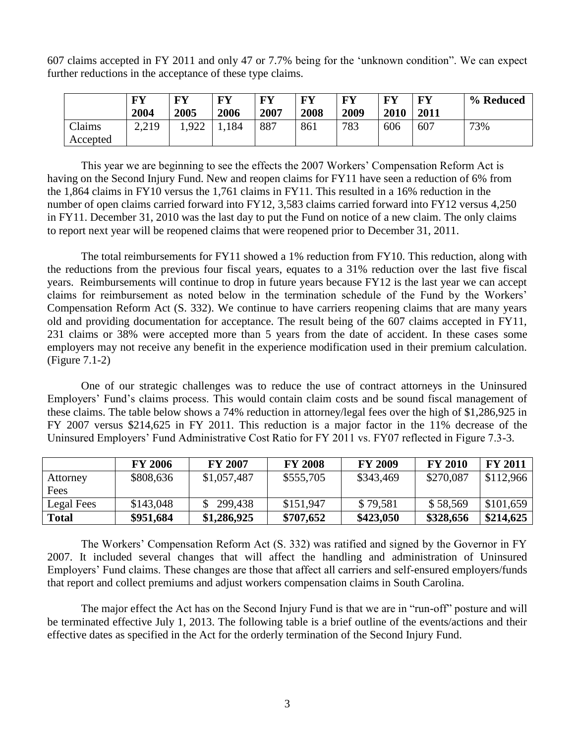607 claims accepted in FY 2011 and only 47 or 7.7% being for the "unknown condition". We can expect further reductions in the acceptance of these type claims.

|                    | FY<br>2004 | FY<br>2005 | $\mathbf{F}\mathbf{V}$<br>2006 | <b>FY</b><br>2007 | FY<br>2008 | $\mathbf{F}\mathbf{V}$<br>2009 | FY<br>2010 | <b>FV</b><br>2011 | % Reduced |
|--------------------|------------|------------|--------------------------------|-------------------|------------|--------------------------------|------------|-------------------|-----------|
| Claims<br>Accepted | 2,219      | .922       | 1,184                          | 887               | 861        | 783                            | 606        | 607               | 73%       |

 This year we are beginning to see the effects the 2007 Workers" Compensation Reform Act is having on the Second Injury Fund. New and reopen claims for FY11 have seen a reduction of 6% from the 1,864 claims in FY10 versus the 1,761 claims in FY11. This resulted in a 16% reduction in the number of open claims carried forward into FY12, 3,583 claims carried forward into FY12 versus 4,250 in FY11. December 31, 2010 was the last day to put the Fund on notice of a new claim. The only claims to report next year will be reopened claims that were reopened prior to December 31, 2011.

The total reimbursements for FY11 showed a 1% reduction from FY10. This reduction, along with the reductions from the previous four fiscal years, equates to a 31% reduction over the last five fiscal years. Reimbursements will continue to drop in future years because FY12 is the last year we can accept claims for reimbursement as noted below in the termination schedule of the Fund by the Workers" Compensation Reform Act (S. 332). We continue to have carriers reopening claims that are many years old and providing documentation for acceptance. The result being of the 607 claims accepted in FY11, 231 claims or 38% were accepted more than 5 years from the date of accident. In these cases some employers may not receive any benefit in the experience modification used in their premium calculation. (Figure 7.1-2)

One of our strategic challenges was to reduce the use of contract attorneys in the Uninsured Employers" Fund"s claims process. This would contain claim costs and be sound fiscal management of these claims. The table below shows a 74% reduction in attorney/legal fees over the high of \$1,286,925 in FY 2007 versus \$214,625 in FY 2011. This reduction is a major factor in the 11% decrease of the Uninsured Employers" Fund Administrative Cost Ratio for FY 2011 vs. FY07 reflected in Figure 7.3-3.

|            | <b>FY 2006</b> | <b>FY 2007</b> | <b>FY 2008</b> | <b>FY 2009</b> | <b>FY 2010</b> | <b>FY 2011</b> |
|------------|----------------|----------------|----------------|----------------|----------------|----------------|
| Attorney   | \$808,636      | \$1,057,487    | \$555,705      | \$343,469      | \$270,087      | \$112,966      |
| Fees       |                |                |                |                |                |                |
| Legal Fees | \$143,048      | 299,438        | \$151,947      | \$79,581       | \$58,569       | \$101,659      |
| Total      | \$951,684      | \$1,286,925    | \$707,652      | \$423,050      | \$328,656      | \$214,625      |

The Workers' Compensation Reform Act (S. 332) was ratified and signed by the Governor in FY 2007. It included several changes that will affect the handling and administration of Uninsured Employers" Fund claims. These changes are those that affect all carriers and self-ensured employers/funds that report and collect premiums and adjust workers compensation claims in South Carolina.

The major effect the Act has on the Second Injury Fund is that we are in "run-off" posture and will be terminated effective July 1, 2013. The following table is a brief outline of the events/actions and their effective dates as specified in the Act for the orderly termination of the Second Injury Fund.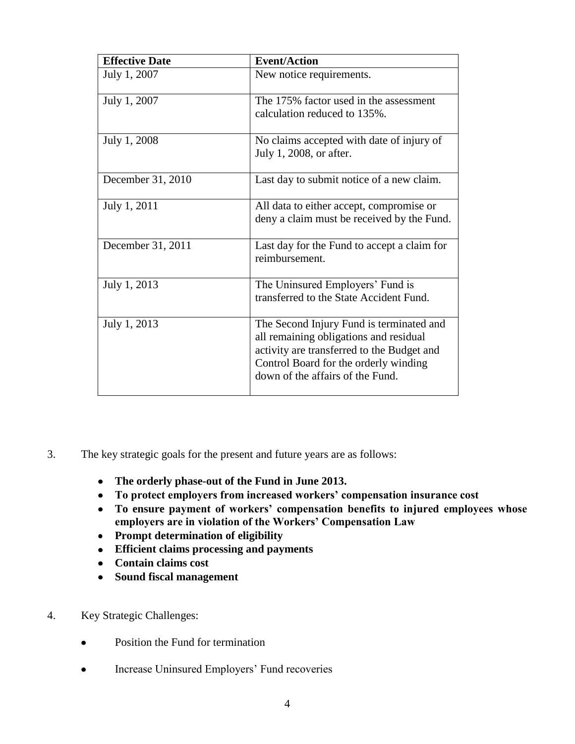| <b>Effective Date</b> | <b>Event/Action</b>                                                                                                                                                                                           |
|-----------------------|---------------------------------------------------------------------------------------------------------------------------------------------------------------------------------------------------------------|
| July 1, 2007          | New notice requirements.                                                                                                                                                                                      |
| July 1, 2007          | The 175% factor used in the assessment<br>calculation reduced to 135%.                                                                                                                                        |
| July 1, 2008          | No claims accepted with date of injury of<br>July 1, 2008, or after.                                                                                                                                          |
| December 31, 2010     | Last day to submit notice of a new claim.                                                                                                                                                                     |
| July 1, 2011          | All data to either accept, compromise or<br>deny a claim must be received by the Fund.                                                                                                                        |
| December 31, 2011     | Last day for the Fund to accept a claim for<br>reimbursement.                                                                                                                                                 |
| July 1, 2013          | The Uninsured Employers' Fund is<br>transferred to the State Accident Fund.                                                                                                                                   |
| July 1, 2013          | The Second Injury Fund is terminated and<br>all remaining obligations and residual<br>activity are transferred to the Budget and<br>Control Board for the orderly winding<br>down of the affairs of the Fund. |

- 3. The key strategic goals for the present and future years are as follows:
	- **The orderly phase-out of the Fund in June 2013.**
	- **To protect employers from increased workers' compensation insurance cost**
	- **To ensure payment of workers' compensation benefits to injured employees whose employers are in violation of the Workers' Compensation Law**
	- **Prompt determination of eligibility**
	- **Efficient claims processing and payments**
	- **Contain claims cost**
	- **Sound fiscal management**
- 4. Key Strategic Challenges:
	- Position the Fund for termination  $\bullet$
	- Increase Uninsured Employers' Fund recoveries  $\bullet$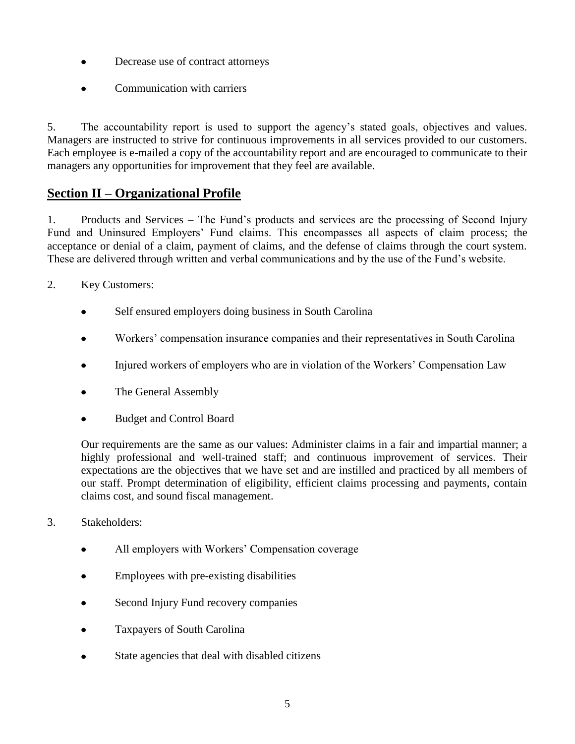- Decrease use of contract attorneys
- Communication with carriers

5. The accountability report is used to support the agency"s stated goals, objectives and values. Managers are instructed to strive for continuous improvements in all services provided to our customers. Each employee is e-mailed a copy of the accountability report and are encouraged to communicate to their managers any opportunities for improvement that they feel are available.

## **Section II – Organizational Profile**

1. Products and Services – The Fund"s products and services are the processing of Second Injury Fund and Uninsured Employers" Fund claims. This encompasses all aspects of claim process; the acceptance or denial of a claim, payment of claims, and the defense of claims through the court system. These are delivered through written and verbal communications and by the use of the Fund"s website.

- 2. Key Customers:
	- Self ensured employers doing business in South Carolina
	- Workers" compensation insurance companies and their representatives in South Carolina
	- Injured workers of employers who are in violation of the Workers" Compensation Law
	- The General Assembly
	- Budget and Control Board

Our requirements are the same as our values: Administer claims in a fair and impartial manner; a highly professional and well-trained staff; and continuous improvement of services. Their expectations are the objectives that we have set and are instilled and practiced by all members of our staff. Prompt determination of eligibility, efficient claims processing and payments, contain claims cost, and sound fiscal management.

- 3. Stakeholders:
	- All employers with Workers' Compensation coverage
	- Employees with pre-existing disabilities
	- Second Injury Fund recovery companies
	- Taxpayers of South Carolina  $\bullet$
	- State agencies that deal with disabled citizens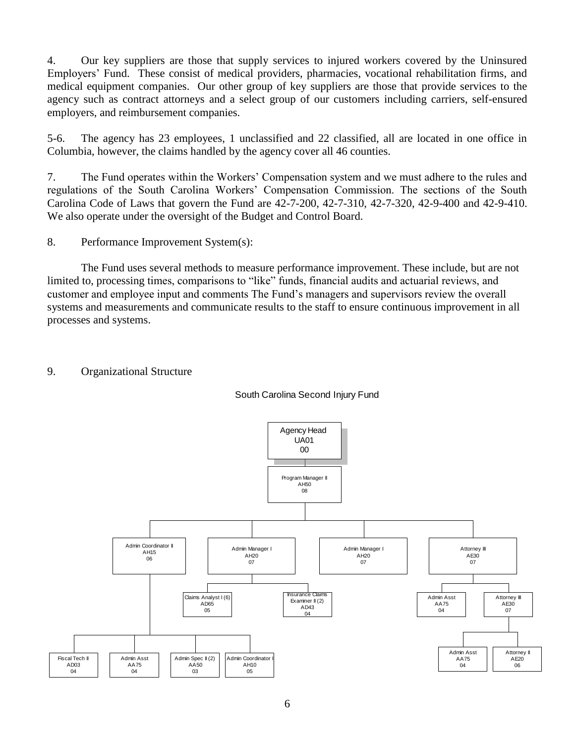4. Our key suppliers are those that supply services to injured workers covered by the Uninsured Employers" Fund. These consist of medical providers, pharmacies, vocational rehabilitation firms, and medical equipment companies. Our other group of key suppliers are those that provide services to the agency such as contract attorneys and a select group of our customers including carriers, self-ensured employers, and reimbursement companies.

5-6. The agency has 23 employees, 1 unclassified and 22 classified, all are located in one office in Columbia, however, the claims handled by the agency cover all 46 counties.

7. The Fund operates within the Workers" Compensation system and we must adhere to the rules and regulations of the South Carolina Workers" Compensation Commission. The sections of the South Carolina Code of Laws that govern the Fund are 42-7-200, 42-7-310, 42-7-320, 42-9-400 and 42-9-410. We also operate under the oversight of the Budget and Control Board.

8. Performance Improvement System(s):

The Fund uses several methods to measure performance improvement. These include, but are not limited to, processing times, comparisons to "like" funds, financial audits and actuarial reviews, and customer and employee input and comments The Fund"s managers and supervisors review the overall systems and measurements and communicate results to the staff to ensure continuous improvement in all processes and systems.

#### 9. Organizational Structure



South Carolina Second Injury Fund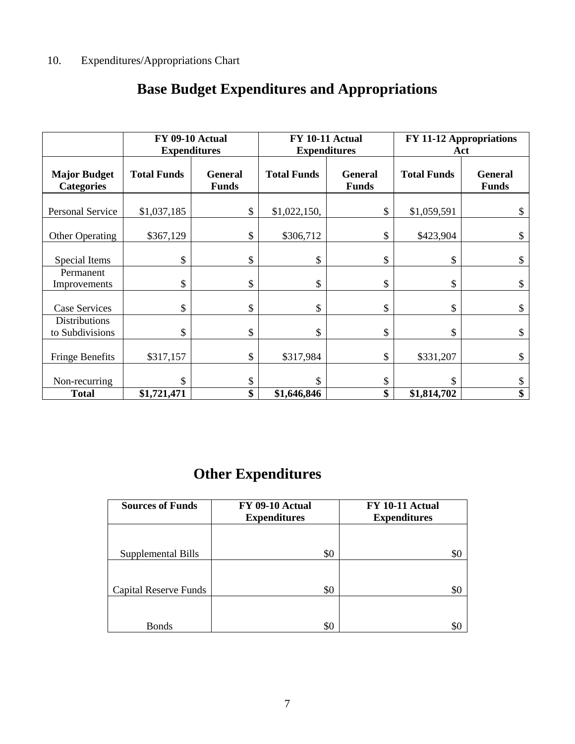|                                          | FY 09-10 Actual<br><b>Expenditures</b> |                                | <b>FY 10-11 Actual</b><br><b>Expenditures</b> |                                | <b>FY 11-12 Appropriations</b><br>Act |                                |
|------------------------------------------|----------------------------------------|--------------------------------|-----------------------------------------------|--------------------------------|---------------------------------------|--------------------------------|
| <b>Major Budget</b><br><b>Categories</b> | <b>Total Funds</b>                     | <b>General</b><br><b>Funds</b> | <b>Total Funds</b>                            | <b>General</b><br><b>Funds</b> | <b>Total Funds</b>                    | <b>General</b><br><b>Funds</b> |
| <b>Personal Service</b>                  | \$1,037,185                            | \$                             | \$1,022,150,                                  | \$                             | \$1,059,591                           | \$                             |
| Other Operating                          | \$367,129                              | \$                             | \$306,712                                     | \$                             | \$423,904                             | \$                             |
| Special Items                            | \$                                     | \$                             | \$                                            | \$                             | \$                                    | \$                             |
| Permanent<br>Improvements                | \$                                     | \$                             | \$                                            | \$                             | \$                                    | \$                             |
| Case Services                            | \$                                     | \$                             | \$                                            | \$                             | \$                                    | \$                             |
| <b>Distributions</b><br>to Subdivisions  | \$                                     | \$                             | \$                                            | \$                             | \$                                    | \$                             |
| <b>Fringe Benefits</b>                   | \$317,157                              | \$                             | \$317,984                                     | \$                             | \$331,207                             | \$                             |
| Non-recurring                            | \$                                     | \$                             | \$                                            | \$                             | \$                                    | \$                             |
| <b>Total</b>                             | \$1,721,471                            | \$                             | \$1,646,846                                   | \$                             | \$1,814,702                           | \$                             |

# **Base Budget Expenditures and Appropriations**

# **Other Expenditures**

| <b>Sources of Funds</b>      | FY 09-10 Actual<br><b>Expenditures</b> | <b>FY 10-11 Actual</b><br><b>Expenditures</b> |
|------------------------------|----------------------------------------|-----------------------------------------------|
|                              |                                        |                                               |
| Supplemental Bills           | \$0                                    | \$C                                           |
|                              |                                        |                                               |
| <b>Capital Reserve Funds</b> | \$0                                    | \$C                                           |
|                              |                                        |                                               |
| <b>Bonds</b>                 | \$0                                    |                                               |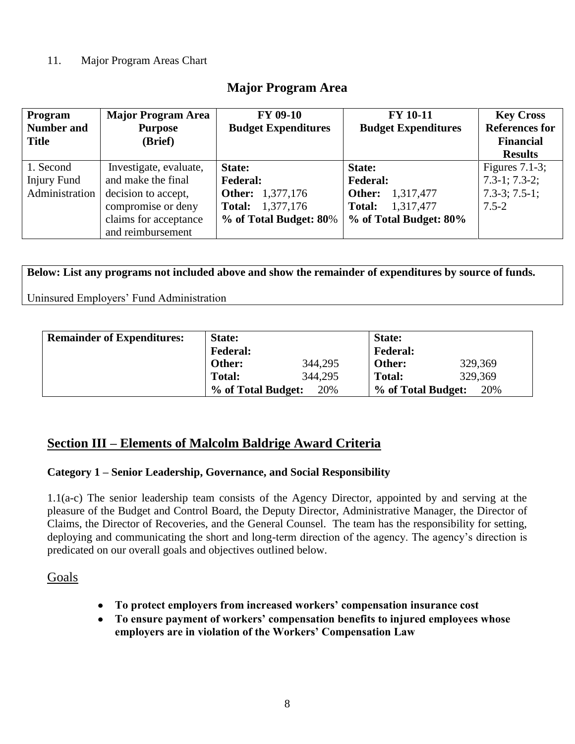#### 11. Major Program Areas Chart

### **Major Program Area**

| Program<br><b>Number and</b><br><b>Title</b> | <b>Major Program Area</b><br><b>Purpose</b><br>(Brief) | <b>FY 09-10</b><br><b>Budget Expenditures</b> | <b>FY 10-11</b><br><b>Budget Expenditures</b> | <b>Key Cross</b><br><b>References for</b><br><b>Financial</b><br><b>Results</b> |
|----------------------------------------------|--------------------------------------------------------|-----------------------------------------------|-----------------------------------------------|---------------------------------------------------------------------------------|
| 1. Second                                    | Investigate, evaluate,                                 | State:                                        | State:                                        | Figures $7.1-3$ ;                                                               |
| <b>Injury Fund</b>                           | and make the final                                     | <b>Federal:</b>                               | <b>Federal:</b>                               | $7.3-1$ ; $7.3-2$ ;                                                             |
| Administration                               | decision to accept,                                    | <b>Other:</b> 1,377,176                       | 1,317,477<br>Other:                           | $7.3-3; 7.5-1;$                                                                 |
|                                              | compromise or deny                                     | 1,377,176<br>Total:                           | 1,317,477<br>Total:                           | $7.5 - 2$                                                                       |
|                                              | claims for acceptance                                  | % of Total Budget: 80%                        | % of Total Budget: 80%                        |                                                                                 |
|                                              | and reimbursement                                      |                                               |                                               |                                                                                 |

**Below: List any programs not included above and show the remainder of expenditures by source of funds.**

Uninsured Employers" Fund Administration

| <b>Remainder of Expenditures:</b> | State:             |         | State:             |         |
|-----------------------------------|--------------------|---------|--------------------|---------|
|                                   | <b>Federal:</b>    |         | <b>Federal:</b>    |         |
|                                   | Other:             | 344,295 | Other:             | 329,369 |
|                                   | <b>Total:</b>      | 344,295 | <b>Total:</b>      | 329,369 |
|                                   | % of Total Budget: | 20%     | % of Total Budget: | 20%     |

### **Section III – Elements of Malcolm Baldrige Award Criteria**

#### **Category 1 – Senior Leadership, Governance, and Social Responsibility**

1.1(a-c) The senior leadership team consists of the Agency Director, appointed by and serving at the pleasure of the Budget and Control Board, the Deputy Director, Administrative Manager, the Director of Claims, the Director of Recoveries, and the General Counsel. The team has the responsibility for setting, deploying and communicating the short and long-term direction of the agency. The agency"s direction is predicated on our overall goals and objectives outlined below.

#### Goals

- **To protect employers from increased workers' compensation insurance cost**
- $\bullet$ **To ensure payment of workers' compensation benefits to injured employees whose employers are in violation of the Workers' Compensation Law**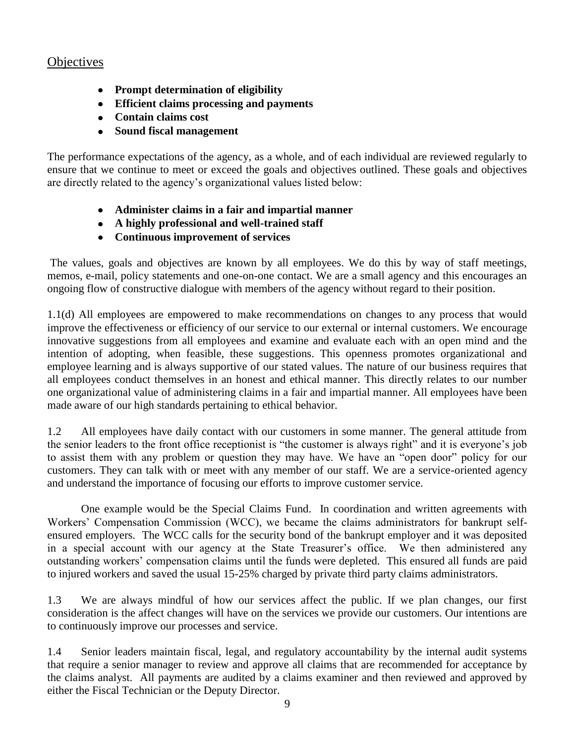### **Objectives**

- **Prompt determination of eligibility**
- **Efficient claims processing and payments**
- **Contain claims cost**
- **Sound fiscal management**

The performance expectations of the agency, as a whole, and of each individual are reviewed regularly to ensure that we continue to meet or exceed the goals and objectives outlined. These goals and objectives are directly related to the agency"s organizational values listed below:

- **Administer claims in a fair and impartial manner**
- **A highly professional and well-trained staff**
- **Continuous improvement of services**

The values, goals and objectives are known by all employees. We do this by way of staff meetings, memos, e-mail, policy statements and one-on-one contact. We are a small agency and this encourages an ongoing flow of constructive dialogue with members of the agency without regard to their position.

1.1(d) All employees are empowered to make recommendations on changes to any process that would improve the effectiveness or efficiency of our service to our external or internal customers. We encourage innovative suggestions from all employees and examine and evaluate each with an open mind and the intention of adopting, when feasible, these suggestions. This openness promotes organizational and employee learning and is always supportive of our stated values. The nature of our business requires that all employees conduct themselves in an honest and ethical manner. This directly relates to our number one organizational value of administering claims in a fair and impartial manner. All employees have been made aware of our high standards pertaining to ethical behavior.

1.2 All employees have daily contact with our customers in some manner. The general attitude from the senior leaders to the front office receptionist is "the customer is always right" and it is everyone"s job to assist them with any problem or question they may have. We have an "open door" policy for our customers. They can talk with or meet with any member of our staff. We are a service-oriented agency and understand the importance of focusing our efforts to improve customer service.

One example would be the Special Claims Fund. In coordination and written agreements with Workers" Compensation Commission (WCC), we became the claims administrators for bankrupt selfensured employers. The WCC calls for the security bond of the bankrupt employer and it was deposited in a special account with our agency at the State Treasurer's office. We then administered any outstanding workers" compensation claims until the funds were depleted. This ensured all funds are paid to injured workers and saved the usual 15-25% charged by private third party claims administrators.

1.3 We are always mindful of how our services affect the public. If we plan changes, our first consideration is the affect changes will have on the services we provide our customers. Our intentions are to continuously improve our processes and service.

1.4 Senior leaders maintain fiscal, legal, and regulatory accountability by the internal audit systems that require a senior manager to review and approve all claims that are recommended for acceptance by the claims analyst. All payments are audited by a claims examiner and then reviewed and approved by either the Fiscal Technician or the Deputy Director.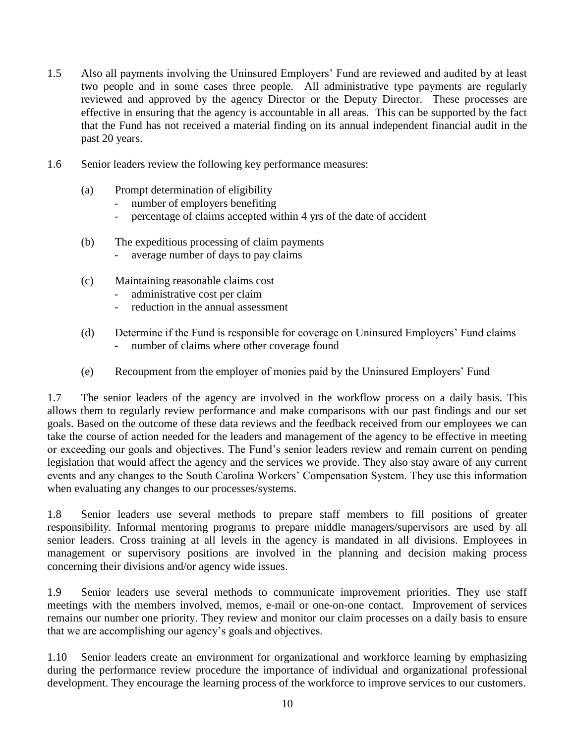- 1.5 Also all payments involving the Uninsured Employers" Fund are reviewed and audited by at least two people and in some cases three people. All administrative type payments are regularly reviewed and approved by the agency Director or the Deputy Director. These processes are effective in ensuring that the agency is accountable in all areas. This can be supported by the fact that the Fund has not received a material finding on its annual independent financial audit in the past 20 years.
- 1.6 Senior leaders review the following key performance measures:
	- (a) Prompt determination of eligibility
		- number of employers benefiting
		- percentage of claims accepted within 4 yrs of the date of accident
	- (b) The expeditious processing of claim payments
		- average number of days to pay claims
	- (c) Maintaining reasonable claims cost
		- administrative cost per claim
		- reduction in the annual assessment
	- (d) Determine if the Fund is responsible for coverage on Uninsured Employers" Fund claims number of claims where other coverage found
	- (e) Recoupment from the employer of monies paid by the Uninsured Employers" Fund

1.7 The senior leaders of the agency are involved in the workflow process on a daily basis. This allows them to regularly review performance and make comparisons with our past findings and our set goals. Based on the outcome of these data reviews and the feedback received from our employees we can take the course of action needed for the leaders and management of the agency to be effective in meeting or exceeding our goals and objectives. The Fund"s senior leaders review and remain current on pending legislation that would affect the agency and the services we provide. They also stay aware of any current events and any changes to the South Carolina Workers" Compensation System. They use this information when evaluating any changes to our processes/systems.

1.8 Senior leaders use several methods to prepare staff members to fill positions of greater responsibility. Informal mentoring programs to prepare middle managers/supervisors are used by all senior leaders. Cross training at all levels in the agency is mandated in all divisions. Employees in management or supervisory positions are involved in the planning and decision making process concerning their divisions and/or agency wide issues.

1.9 Senior leaders use several methods to communicate improvement priorities. They use staff meetings with the members involved, memos, e-mail or one-on-one contact. Improvement of services remains our number one priority. They review and monitor our claim processes on a daily basis to ensure that we are accomplishing our agency"s goals and objectives.

1.10 Senior leaders create an environment for organizational and workforce learning by emphasizing during the performance review procedure the importance of individual and organizational professional development. They encourage the learning process of the workforce to improve services to our customers.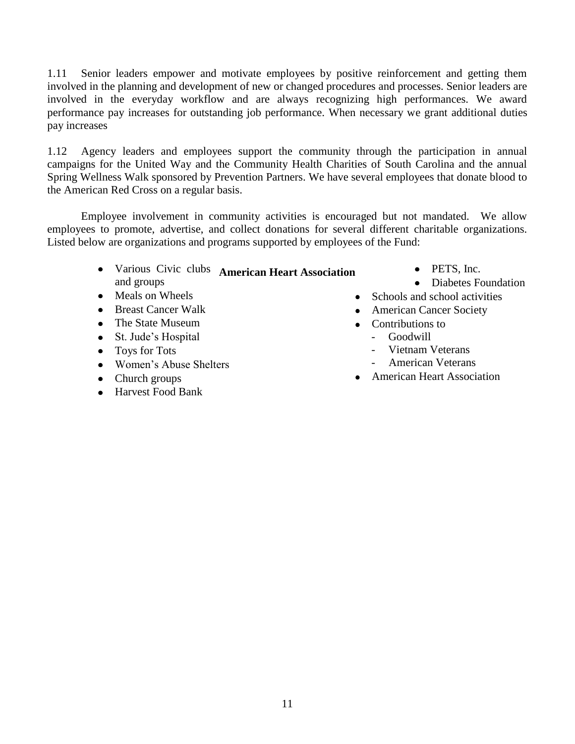1.11 Senior leaders empower and motivate employees by positive reinforcement and getting them involved in the planning and development of new or changed procedures and processes. Senior leaders are involved in the everyday workflow and are always recognizing high performances. We award performance pay increases for outstanding job performance. When necessary we grant additional duties pay increases

1.12 Agency leaders and employees support the community through the participation in annual campaigns for the United Way and the Community Health Charities of South Carolina and the annual Spring Wellness Walk sponsored by Prevention Partners. We have several employees that donate blood to the American Red Cross on a regular basis.

Employee involvement in community activities is encouraged but not mandated. We allow employees to promote, advertise, and collect donations for several different charitable organizations. Listed below are organizations and programs supported by employees of the Fund:

- Various Civic clubs **American Heart Association**and groups
- Meals on Wheels
- Breast Cancer Walk
- The State Museum
- St. Jude's Hospital
- Toys for Tots
- Women's Abuse Shelters
- Church groups
- Harvest Food Bank  $\bullet$
- PETS, Inc.
- Diabetes Foundation
- Schools and school activities
- American Cancer Society
- Contributions to
	- Goodwill
		- Vietnam Veterans
		- American Veterans
- American Heart Association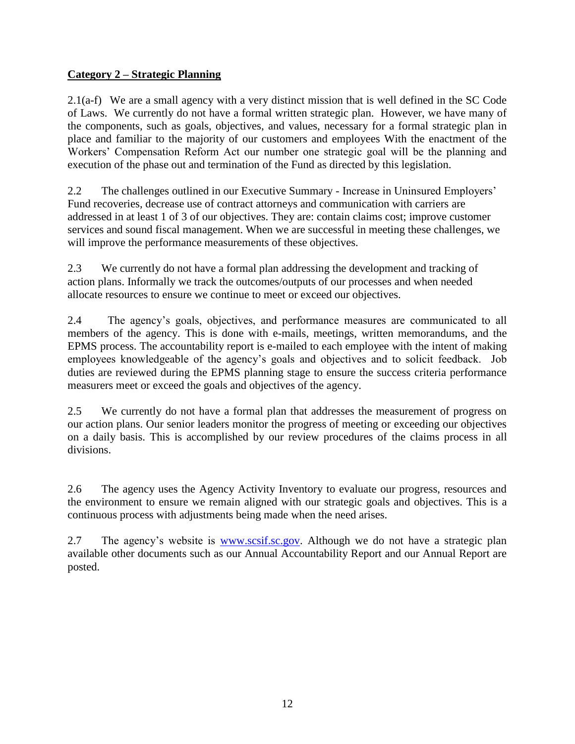#### **Category 2 – Strategic Planning**

2.1(a-f) We are a small agency with a very distinct mission that is well defined in the SC Code of Laws. We currently do not have a formal written strategic plan. However, we have many of the components, such as goals, objectives, and values, necessary for a formal strategic plan in place and familiar to the majority of our customers and employees With the enactment of the Workers" Compensation Reform Act our number one strategic goal will be the planning and execution of the phase out and termination of the Fund as directed by this legislation.

2.2 The challenges outlined in our Executive Summary - Increase in Uninsured Employers" Fund recoveries, decrease use of contract attorneys and communication with carriers are addressed in at least 1 of 3 of our objectives. They are: contain claims cost; improve customer services and sound fiscal management. When we are successful in meeting these challenges, we will improve the performance measurements of these objectives.

2.3 We currently do not have a formal plan addressing the development and tracking of action plans. Informally we track the outcomes/outputs of our processes and when needed allocate resources to ensure we continue to meet or exceed our objectives.

2.4 The agency"s goals, objectives, and performance measures are communicated to all members of the agency. This is done with e-mails, meetings, written memorandums, and the EPMS process. The accountability report is e-mailed to each employee with the intent of making employees knowledgeable of the agency"s goals and objectives and to solicit feedback. Job duties are reviewed during the EPMS planning stage to ensure the success criteria performance measurers meet or exceed the goals and objectives of the agency.

2.5 We currently do not have a formal plan that addresses the measurement of progress on our action plans. Our senior leaders monitor the progress of meeting or exceeding our objectives on a daily basis. This is accomplished by our review procedures of the claims process in all divisions.

2.6 The agency uses the Agency Activity Inventory to evaluate our progress, resources and the environment to ensure we remain aligned with our strategic goals and objectives. This is a continuous process with adjustments being made when the need arises.

2.7 The agency's website is [www.scsif.sc.gov.](http://www.scsif.sc.gov/) Although we do not have a strategic plan available other documents such as our Annual Accountability Report and our Annual Report are posted.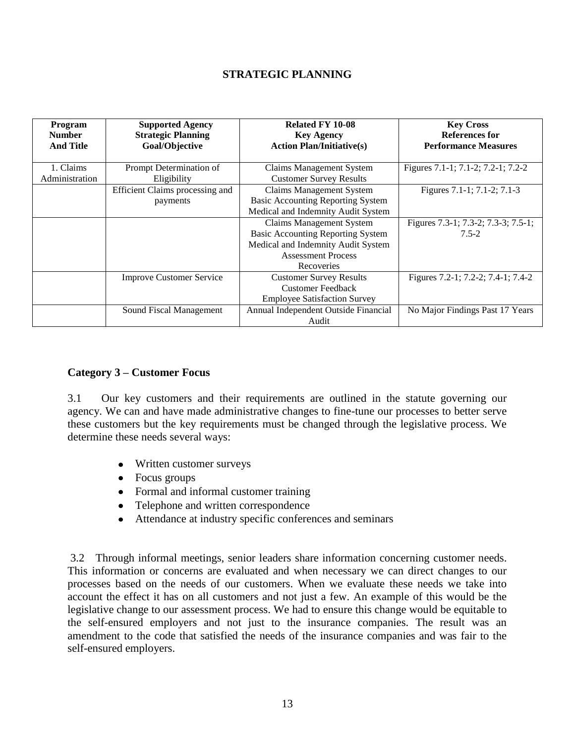#### **STRATEGIC PLANNING**

| <b>Program</b><br><b>Number</b><br><b>And Title</b> | <b>Supported Agency</b><br><b>Strategic Planning</b><br>Goal/Objective | <b>Related FY 10-08</b><br><b>Key Agency</b><br><b>Action Plan/Initiative(s)</b>                                                                             | <b>Key Cross</b><br><b>References for</b><br><b>Performance Measures</b> |
|-----------------------------------------------------|------------------------------------------------------------------------|--------------------------------------------------------------------------------------------------------------------------------------------------------------|--------------------------------------------------------------------------|
| 1. Claims<br>Administration                         | Prompt Determination of<br>Eligibility                                 | <b>Claims Management System</b><br><b>Customer Survey Results</b>                                                                                            | Figures 7.1-1; 7.1-2; 7.2-1; 7.2-2                                       |
|                                                     | Efficient Claims processing and<br>payments                            | <b>Claims Management System</b><br><b>Basic Accounting Reporting System</b><br>Medical and Indemnity Audit System                                            | Figures 7.1-1; 7.1-2; 7.1-3                                              |
|                                                     |                                                                        | <b>Claims Management System</b><br><b>Basic Accounting Reporting System</b><br>Medical and Indemnity Audit System<br><b>Assessment Process</b><br>Recoveries | Figures 7.3-1; 7.3-2; 7.3-3; 7.5-1;<br>$7.5 - 2$                         |
|                                                     | <b>Improve Customer Service</b>                                        | <b>Customer Survey Results</b><br><b>Customer Feedback</b><br><b>Employee Satisfaction Survey</b>                                                            | Figures 7.2-1; 7.2-2; 7.4-1; 7.4-2                                       |
|                                                     | Sound Fiscal Management                                                | Annual Independent Outside Financial<br>Audit                                                                                                                | No Major Findings Past 17 Years                                          |

#### **Category 3 – Customer Focus**

3.1 Our key customers and their requirements are outlined in the statute governing our agency. We can and have made administrative changes to fine-tune our processes to better serve these customers but the key requirements must be changed through the legislative process. We determine these needs several ways:

- Written customer surveys
- Focus groups
- Formal and informal customer training
- Telephone and written correspondence
- Attendance at industry specific conferences and seminars

3.2 Through informal meetings, senior leaders share information concerning customer needs. This information or concerns are evaluated and when necessary we can direct changes to our processes based on the needs of our customers. When we evaluate these needs we take into account the effect it has on all customers and not just a few. An example of this would be the legislative change to our assessment process. We had to ensure this change would be equitable to the self-ensured employers and not just to the insurance companies. The result was an amendment to the code that satisfied the needs of the insurance companies and was fair to the self-ensured employers.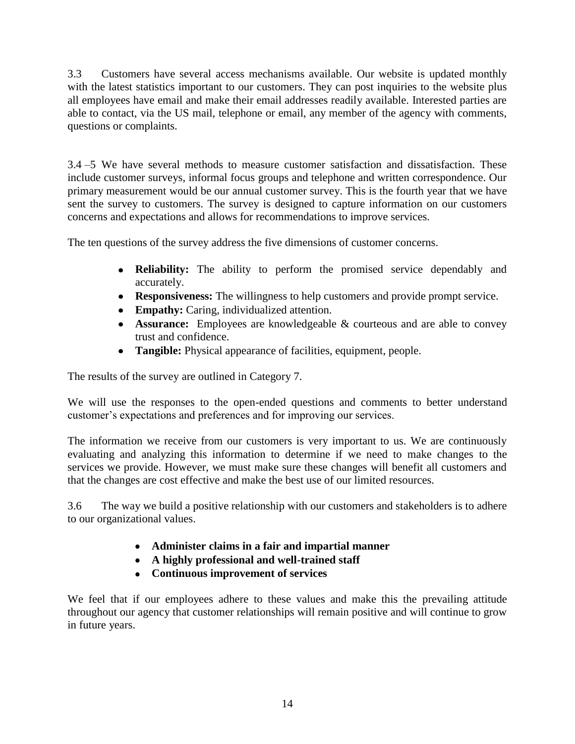3.3 Customers have several access mechanisms available. Our website is updated monthly with the latest statistics important to our customers. They can post inquiries to the website plus all employees have email and make their email addresses readily available. Interested parties are able to contact, via the US mail, telephone or email, any member of the agency with comments, questions or complaints.

3.4 –5 We have several methods to measure customer satisfaction and dissatisfaction. These include customer surveys, informal focus groups and telephone and written correspondence. Our primary measurement would be our annual customer survey. This is the fourth year that we have sent the survey to customers. The survey is designed to capture information on our customers concerns and expectations and allows for recommendations to improve services.

The ten questions of the survey address the five dimensions of customer concerns.

- **Reliability:** The ability to perform the promised service dependably and accurately.
- **Responsiveness:** The willingness to help customers and provide prompt service.
- **Empathy:** Caring, individualized attention.
- **Assurance:** Employees are knowledgeable & courteous and are able to convey trust and confidence.
- **Tangible:** Physical appearance of facilities, equipment, people.

The results of the survey are outlined in Category 7.

We will use the responses to the open-ended questions and comments to better understand customer"s expectations and preferences and for improving our services.

The information we receive from our customers is very important to us. We are continuously evaluating and analyzing this information to determine if we need to make changes to the services we provide. However, we must make sure these changes will benefit all customers and that the changes are cost effective and make the best use of our limited resources.

3.6 The way we build a positive relationship with our customers and stakeholders is to adhere to our organizational values.

- **Administer claims in a fair and impartial manner**
- **A highly professional and well-trained staff**
- **Continuous improvement of services**

We feel that if our employees adhere to these values and make this the prevailing attitude throughout our agency that customer relationships will remain positive and will continue to grow in future years.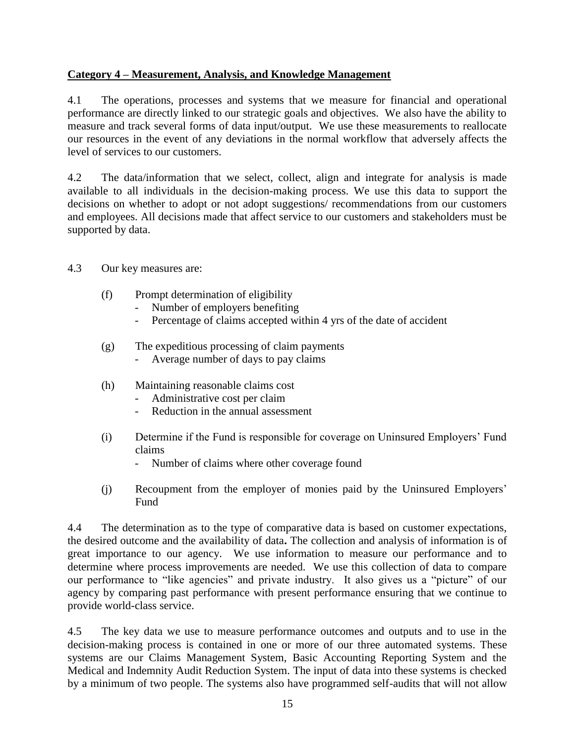#### **Category 4 – Measurement, Analysis, and Knowledge Management**

4.1 The operations, processes and systems that we measure for financial and operational performance are directly linked to our strategic goals and objectives. We also have the ability to measure and track several forms of data input/output. We use these measurements to reallocate our resources in the event of any deviations in the normal workflow that adversely affects the level of services to our customers.

4.2 The data/information that we select, collect, align and integrate for analysis is made available to all individuals in the decision-making process. We use this data to support the decisions on whether to adopt or not adopt suggestions/ recommendations from our customers and employees. All decisions made that affect service to our customers and stakeholders must be supported by data.

- 4.3 Our key measures are:
	- (f) Prompt determination of eligibility
		- Number of employers benefiting
		- Percentage of claims accepted within 4 yrs of the date of accident
	- (g) The expeditious processing of claim payments
		- Average number of days to pay claims
	- (h) Maintaining reasonable claims cost
		- Administrative cost per claim
		- Reduction in the annual assessment
	- (i) Determine if the Fund is responsible for coverage on Uninsured Employers" Fund claims
		- Number of claims where other coverage found
	- (j) Recoupment from the employer of monies paid by the Uninsured Employers" Fund

4.4 The determination as to the type of comparative data is based on customer expectations, the desired outcome and the availability of data**.** The collection and analysis of information is of great importance to our agency. We use information to measure our performance and to determine where process improvements are needed. We use this collection of data to compare our performance to "like agencies" and private industry. It also gives us a "picture" of our agency by comparing past performance with present performance ensuring that we continue to provide world-class service.

4.5 The key data we use to measure performance outcomes and outputs and to use in the decision-making process is contained in one or more of our three automated systems. These systems are our Claims Management System, Basic Accounting Reporting System and the Medical and Indemnity Audit Reduction System. The input of data into these systems is checked by a minimum of two people. The systems also have programmed self-audits that will not allow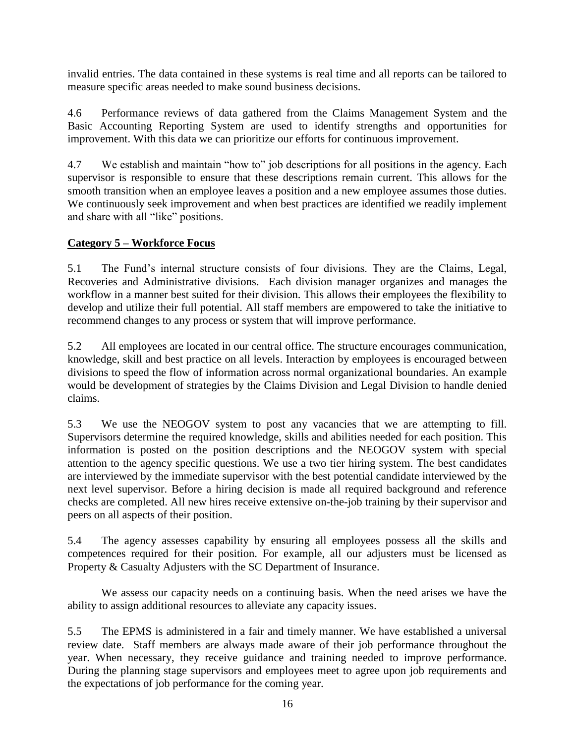invalid entries. The data contained in these systems is real time and all reports can be tailored to measure specific areas needed to make sound business decisions.

4.6 Performance reviews of data gathered from the Claims Management System and the Basic Accounting Reporting System are used to identify strengths and opportunities for improvement. With this data we can prioritize our efforts for continuous improvement.

4.7 We establish and maintain "how to" job descriptions for all positions in the agency. Each supervisor is responsible to ensure that these descriptions remain current. This allows for the smooth transition when an employee leaves a position and a new employee assumes those duties. We continuously seek improvement and when best practices are identified we readily implement and share with all "like" positions.

#### **Category 5 – Workforce Focus**

5.1 The Fund"s internal structure consists of four divisions. They are the Claims, Legal, Recoveries and Administrative divisions. Each division manager organizes and manages the workflow in a manner best suited for their division. This allows their employees the flexibility to develop and utilize their full potential. All staff members are empowered to take the initiative to recommend changes to any process or system that will improve performance.

5.2 All employees are located in our central office. The structure encourages communication, knowledge, skill and best practice on all levels. Interaction by employees is encouraged between divisions to speed the flow of information across normal organizational boundaries. An example would be development of strategies by the Claims Division and Legal Division to handle denied claims.

5.3 We use the NEOGOV system to post any vacancies that we are attempting to fill. Supervisors determine the required knowledge, skills and abilities needed for each position. This information is posted on the position descriptions and the NEOGOV system with special attention to the agency specific questions. We use a two tier hiring system. The best candidates are interviewed by the immediate supervisor with the best potential candidate interviewed by the next level supervisor. Before a hiring decision is made all required background and reference checks are completed. All new hires receive extensive on-the-job training by their supervisor and peers on all aspects of their position.

5.4 The agency assesses capability by ensuring all employees possess all the skills and competences required for their position. For example, all our adjusters must be licensed as Property & Casualty Adjusters with the SC Department of Insurance.

We assess our capacity needs on a continuing basis. When the need arises we have the ability to assign additional resources to alleviate any capacity issues.

5.5 The EPMS is administered in a fair and timely manner. We have established a universal review date. Staff members are always made aware of their job performance throughout the year. When necessary, they receive guidance and training needed to improve performance. During the planning stage supervisors and employees meet to agree upon job requirements and the expectations of job performance for the coming year.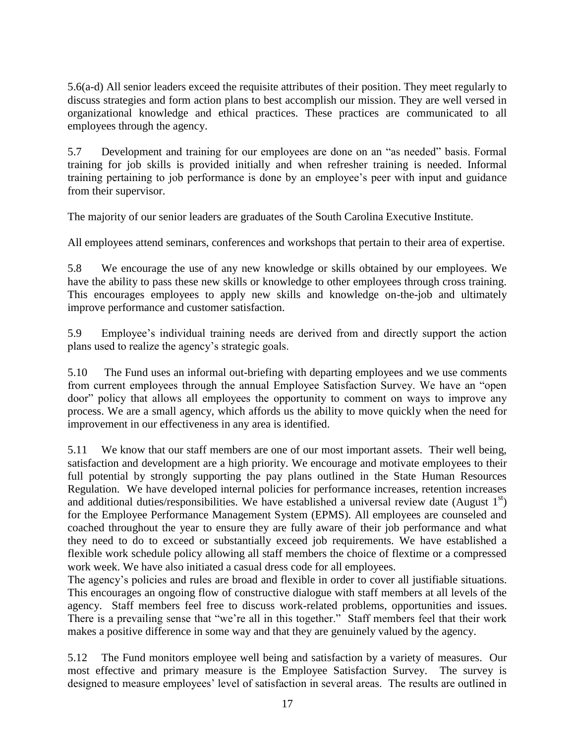5.6(a-d) All senior leaders exceed the requisite attributes of their position. They meet regularly to discuss strategies and form action plans to best accomplish our mission. They are well versed in organizational knowledge and ethical practices. These practices are communicated to all employees through the agency.

5.7 Development and training for our employees are done on an "as needed" basis. Formal training for job skills is provided initially and when refresher training is needed. Informal training pertaining to job performance is done by an employee"s peer with input and guidance from their supervisor.

The majority of our senior leaders are graduates of the South Carolina Executive Institute.

All employees attend seminars, conferences and workshops that pertain to their area of expertise.

5.8 We encourage the use of any new knowledge or skills obtained by our employees. We have the ability to pass these new skills or knowledge to other employees through cross training. This encourages employees to apply new skills and knowledge on-the-job and ultimately improve performance and customer satisfaction.

5.9 Employee"s individual training needs are derived from and directly support the action plans used to realize the agency"s strategic goals.

5.10 The Fund uses an informal out-briefing with departing employees and we use comments from current employees through the annual Employee Satisfaction Survey. We have an "open door" policy that allows all employees the opportunity to comment on ways to improve any process. We are a small agency, which affords us the ability to move quickly when the need for improvement in our effectiveness in any area is identified.

5.11 We know that our staff members are one of our most important assets. Their well being, satisfaction and development are a high priority. We encourage and motivate employees to their full potential by strongly supporting the pay plans outlined in the State Human Resources Regulation. We have developed internal policies for performance increases, retention increases and additional duties/responsibilities. We have established a universal review date (August  $1<sup>st</sup>$ ) for the Employee Performance Management System (EPMS). All employees are counseled and coached throughout the year to ensure they are fully aware of their job performance and what they need to do to exceed or substantially exceed job requirements. We have established a flexible work schedule policy allowing all staff members the choice of flextime or a compressed work week. We have also initiated a casual dress code for all employees.

The agency"s policies and rules are broad and flexible in order to cover all justifiable situations. This encourages an ongoing flow of constructive dialogue with staff members at all levels of the agency. Staff members feel free to discuss work-related problems, opportunities and issues. There is a prevailing sense that "we"re all in this together." Staff members feel that their work makes a positive difference in some way and that they are genuinely valued by the agency.

5.12 The Fund monitors employee well being and satisfaction by a variety of measures. Our most effective and primary measure is the Employee Satisfaction Survey. The survey is designed to measure employees' level of satisfaction in several areas. The results are outlined in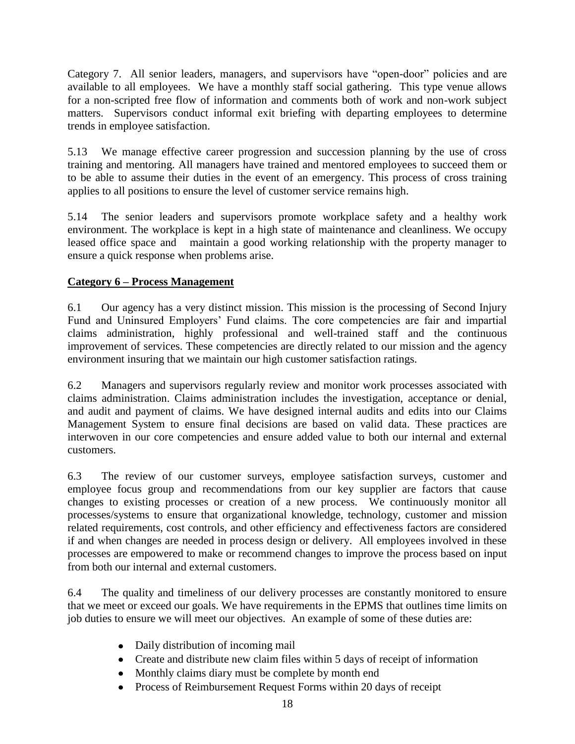Category 7. All senior leaders, managers, and supervisors have "open-door" policies and are available to all employees. We have a monthly staff social gathering. This type venue allows for a non-scripted free flow of information and comments both of work and non-work subject matters. Supervisors conduct informal exit briefing with departing employees to determine trends in employee satisfaction.

5.13 We manage effective career progression and succession planning by the use of cross training and mentoring. All managers have trained and mentored employees to succeed them or to be able to assume their duties in the event of an emergency. This process of cross training applies to all positions to ensure the level of customer service remains high.

5.14 The senior leaders and supervisors promote workplace safety and a healthy work environment. The workplace is kept in a high state of maintenance and cleanliness. We occupy leased office space and maintain a good working relationship with the property manager to ensure a quick response when problems arise.

#### **Category 6 – Process Management**

6.1 Our agency has a very distinct mission. This mission is the processing of Second Injury Fund and Uninsured Employers' Fund claims. The core competencies are fair and impartial claims administration, highly professional and well-trained staff and the continuous improvement of services. These competencies are directly related to our mission and the agency environment insuring that we maintain our high customer satisfaction ratings.

6.2 Managers and supervisors regularly review and monitor work processes associated with claims administration. Claims administration includes the investigation, acceptance or denial, and audit and payment of claims. We have designed internal audits and edits into our Claims Management System to ensure final decisions are based on valid data. These practices are interwoven in our core competencies and ensure added value to both our internal and external customers.

6.3 The review of our customer surveys, employee satisfaction surveys, customer and employee focus group and recommendations from our key supplier are factors that cause changes to existing processes or creation of a new process. We continuously monitor all processes/systems to ensure that organizational knowledge, technology, customer and mission related requirements, cost controls, and other efficiency and effectiveness factors are considered if and when changes are needed in process design or delivery. All employees involved in these processes are empowered to make or recommend changes to improve the process based on input from both our internal and external customers.

6.4 The quality and timeliness of our delivery processes are constantly monitored to ensure that we meet or exceed our goals. We have requirements in the EPMS that outlines time limits on job duties to ensure we will meet our objectives. An example of some of these duties are:

- Daily distribution of incoming mail
- Create and distribute new claim files within 5 days of receipt of information
- Monthly claims diary must be complete by month end
- Process of Reimbursement Request Forms within 20 days of receipt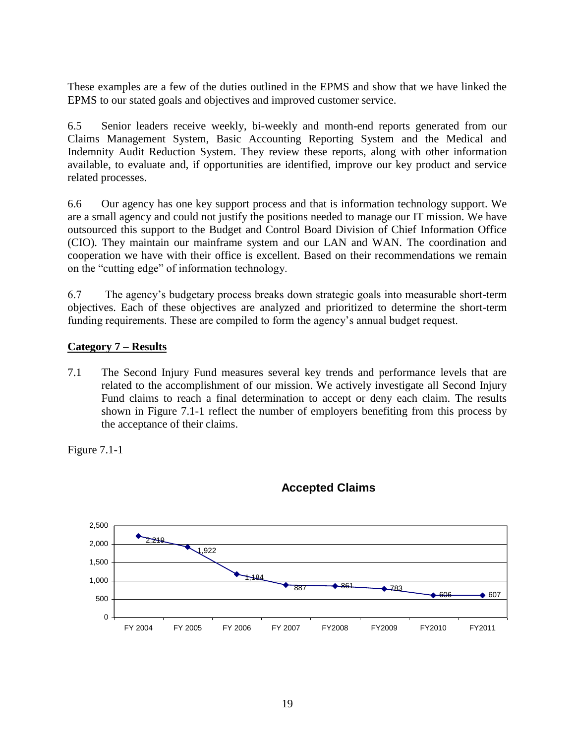These examples are a few of the duties outlined in the EPMS and show that we have linked the EPMS to our stated goals and objectives and improved customer service.

6.5 Senior leaders receive weekly, bi-weekly and month-end reports generated from our Claims Management System, Basic Accounting Reporting System and the Medical and Indemnity Audit Reduction System. They review these reports, along with other information available, to evaluate and, if opportunities are identified, improve our key product and service related processes.

6.6 Our agency has one key support process and that is information technology support. We are a small agency and could not justify the positions needed to manage our IT mission. We have outsourced this support to the Budget and Control Board Division of Chief Information Office (CIO). They maintain our mainframe system and our LAN and WAN. The coordination and cooperation we have with their office is excellent. Based on their recommendations we remain on the "cutting edge" of information technology.

6.7 The agency"s budgetary process breaks down strategic goals into measurable short-term objectives. Each of these objectives are analyzed and prioritized to determine the short-term funding requirements. These are compiled to form the agency"s annual budget request.

#### **Category 7 – Results**

7.1 The Second Injury Fund measures several key trends and performance levels that are related to the accomplishment of our mission. We actively investigate all Second Injury Fund claims to reach a final determination to accept or deny each claim. The results shown in Figure 7.1-1 reflect the number of employers benefiting from this process by the acceptance of their claims.

Figure 7.1-1



#### **Accepted Claims**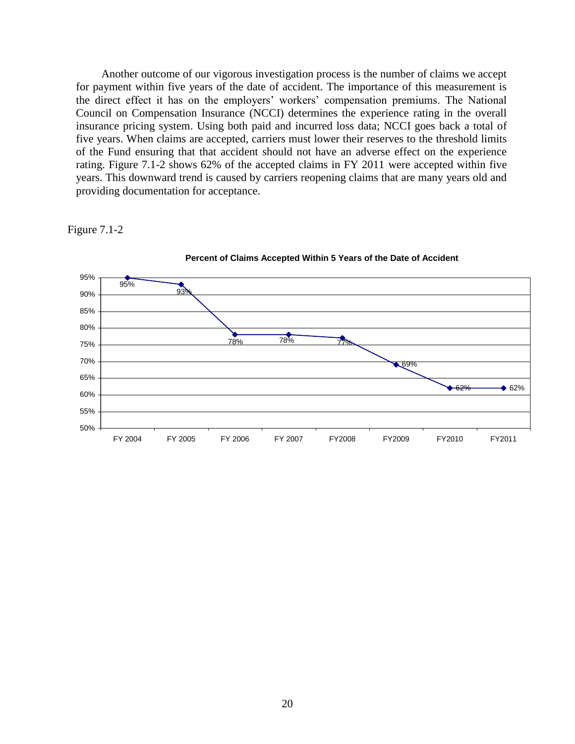Another outcome of our vigorous investigation process is the number of claims we accept for payment within five years of the date of accident. The importance of this measurement is the direct effect it has on the employers' workers' compensation premiums. The National Council on Compensation Insurance (NCCI) determines the experience rating in the overall insurance pricing system. Using both paid and incurred loss data; NCCI goes back a total of five years. When claims are accepted, carriers must lower their reserves to the threshold limits of the Fund ensuring that that accident should not have an adverse effect on the experience rating. Figure 7.1-2 shows 62% of the accepted claims in FY 2011 were accepted within five years. This downward trend is caused by carriers reopening claims that are many years old and providing documentation for acceptance.

Figure 7.1-2



**Percent of Claims Accepted Within 5 Years of the Date of Accident**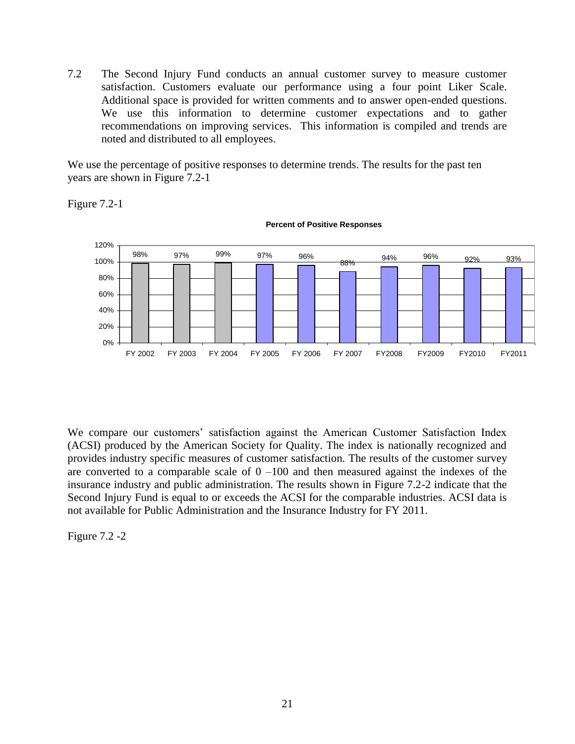7.2 The Second Injury Fund conducts an annual customer survey to measure customer satisfaction. Customers evaluate our performance using a four point Liker Scale. Additional space is provided for written comments and to answer open-ended questions. We use this information to determine customer expectations and to gather recommendations on improving services. This information is compiled and trends are noted and distributed to all employees.

We use the percentage of positive responses to determine trends. The results for the past ten years are shown in Figure 7.2-1





**Percent of Positive Responses**

We compare our customers' satisfaction against the American Customer Satisfaction Index (ACSI) produced by the American Society for Quality. The index is nationally recognized and provides industry specific measures of customer satisfaction. The results of the customer survey are converted to a comparable scale of  $0 -100$  and then measured against the indexes of the insurance industry and public administration. The results shown in Figure 7.2-2 indicate that the Second Injury Fund is equal to or exceeds the ACSI for the comparable industries. ACSI data is not available for Public Administration and the Insurance Industry for FY 2011.

Figure 7.2 -2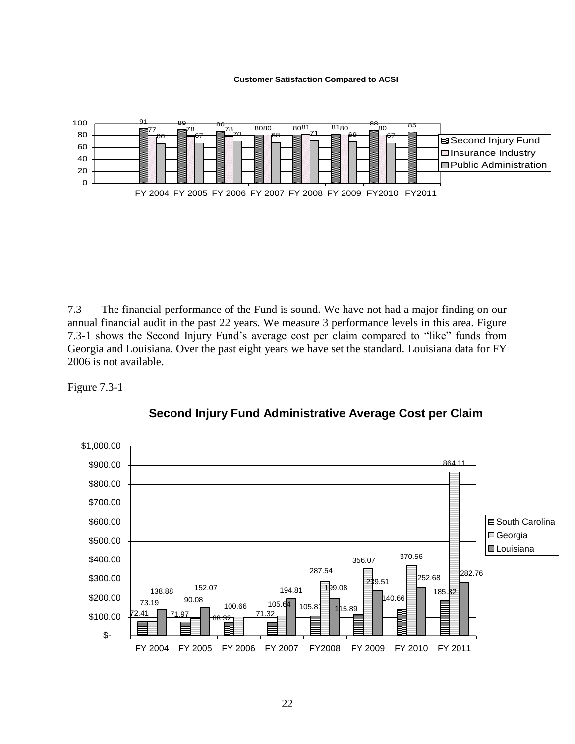#### **Customer Satisfaction Compared to ACSI**



7.3 The financial performance of the Fund is sound. We have not had a major finding on our annual financial audit in the past 22 years. We measure 3 performance levels in this area. Figure 7.3-1 shows the Second Injury Fund"s average cost per claim compared to "like" funds from Georgia and Louisiana. Over the past eight years we have set the standard. Louisiana data for FY 2006 is not available.





**Second Injury Fund Administrative Average Cost per Claim**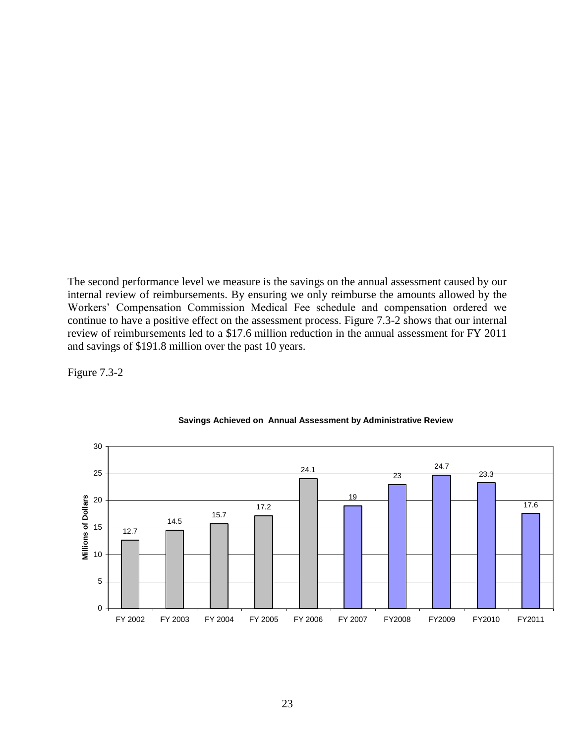The second performance level we measure is the savings on the annual assessment caused by our internal review of reimbursements. By ensuring we only reimburse the amounts allowed by the Workers" Compensation Commission Medical Fee schedule and compensation ordered we continue to have a positive effect on the assessment process. Figure 7.3-2 shows that our internal review of reimbursements led to a \$17.6 million reduction in the annual assessment for FY 2011 and savings of \$191.8 million over the past 10 years.

Figure 7.3-2



#### **Savings Achieved on Annual Assessment by Administrative Review**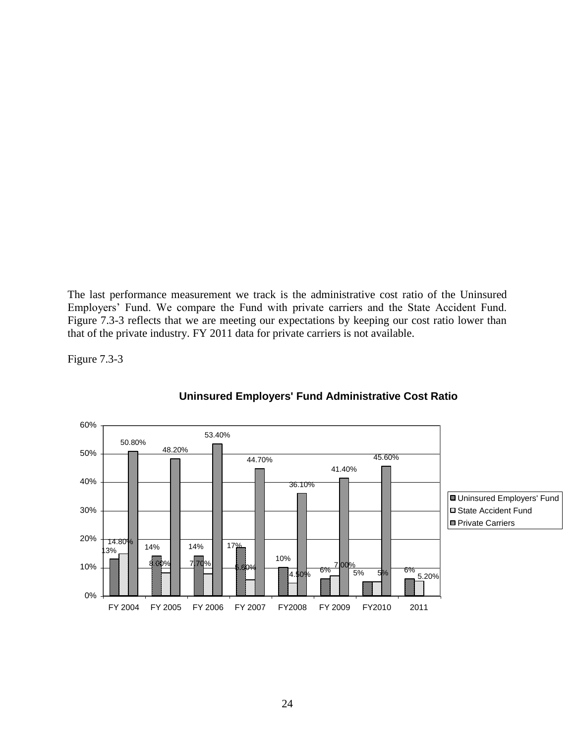The last performance measurement we track is the administrative cost ratio of the Uninsured Employers" Fund. We compare the Fund with private carriers and the State Accident Fund. Figure 7.3-3 reflects that we are meeting our expectations by keeping our cost ratio lower than that of the private industry. FY 2011 data for private carriers is not available.

Figure 7.3-3



#### **Uninsured Employers' Fund Administrative Cost Ratio**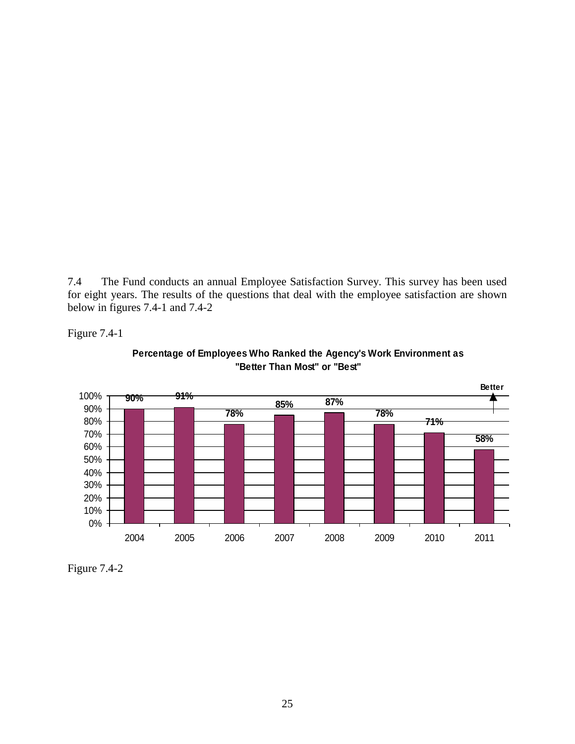7.4 The Fund conducts an annual Employee Satisfaction Survey. This survey has been used for eight years. The results of the questions that deal with the employee satisfaction are shown below in figures 7.4-1 and 7.4-2





**Percentage of Employees Who Ranked the Agency's Work Environment as "Better Than Most" or "Best"** 

Figure 7.4-2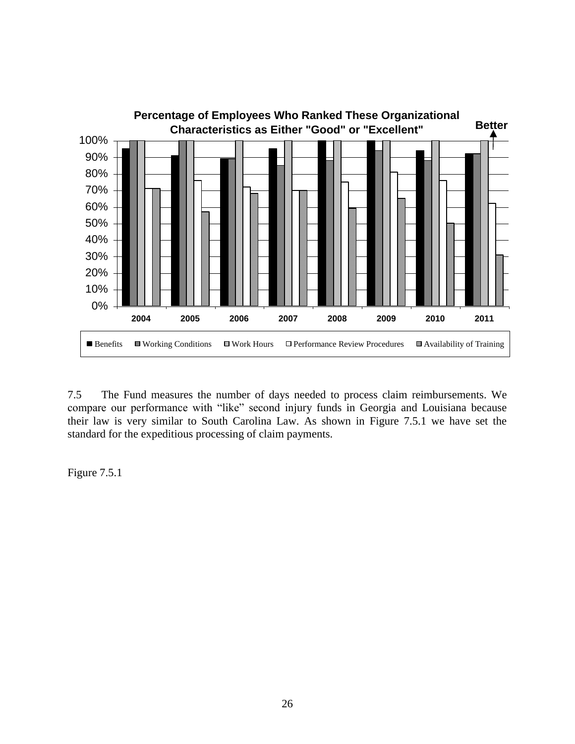

7.5 The Fund measures the number of days needed to process claim reimbursements. We compare our performance with "like" second injury funds in Georgia and Louisiana because their law is very similar to South Carolina Law. As shown in Figure 7.5.1 we have set the standard for the expeditious processing of claim payments.

Figure 7.5.1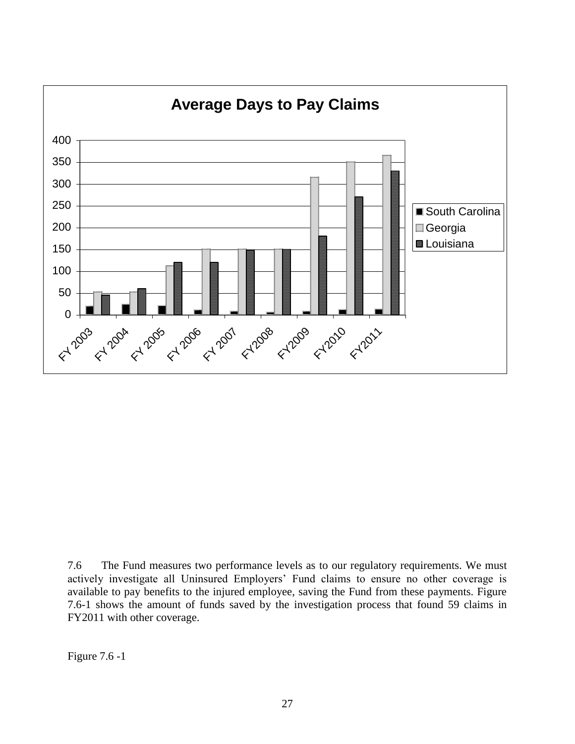

7.6 The Fund measures two performance levels as to our regulatory requirements. We must actively investigate all Uninsured Employers" Fund claims to ensure no other coverage is available to pay benefits to the injured employee, saving the Fund from these payments. Figure 7.6-1 shows the amount of funds saved by the investigation process that found 59 claims in FY2011 with other coverage.

Figure 7.6 -1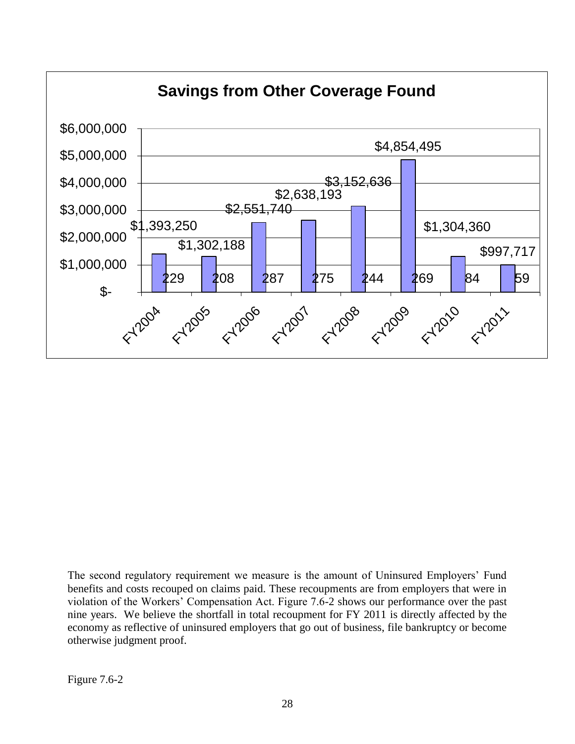

The second regulatory requirement we measure is the amount of Uninsured Employers' Fund benefits and costs recouped on claims paid. These recoupments are from employers that were in violation of the Workers" Compensation Act. Figure 7.6-2 shows our performance over the past nine years. We believe the shortfall in total recoupment for FY 2011 is directly affected by the economy as reflective of uninsured employers that go out of business, file bankruptcy or become otherwise judgment proof.

Figure 7.6-2